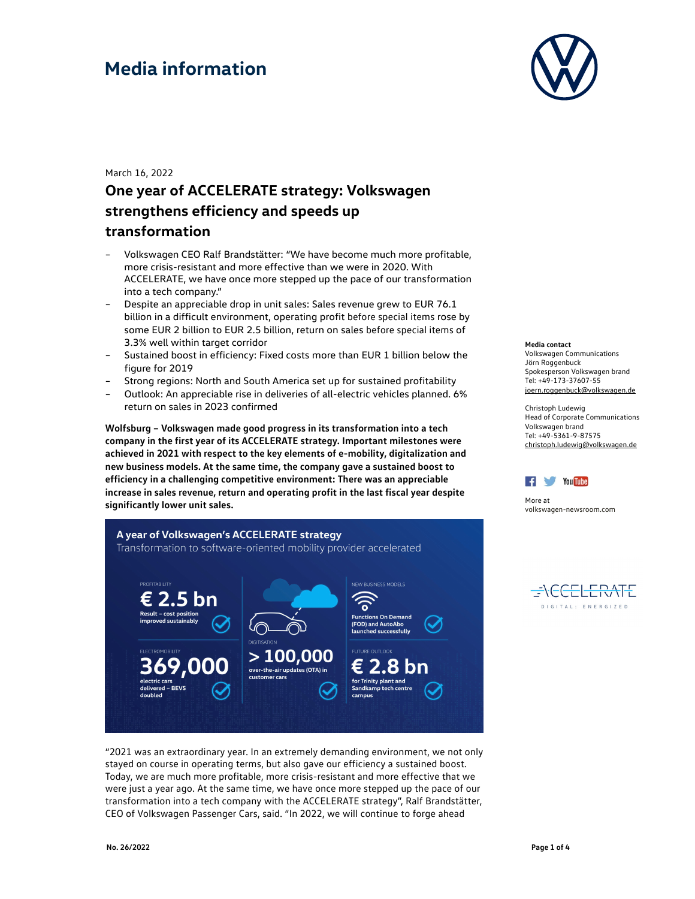

March 16, 2022

### **One year of ACCELERATE strategy: Volkswagen strengthens efficiency and speeds up transformation**

- Volkswagen CEO Ralf Brandstätter: "We have become much more profitable, more crisis-resistant and more effective than we were in 2020. With ACCELERATE, we have once more stepped up the pace of our transformation into a tech company."
- Despite an appreciable drop in unit sales: Sales revenue grew to EUR 76.1 billion in a difficult environment, operating profit before special items rose by some EUR 2 billion to EUR 2.5 billion, return on sales before special items of 3.3% well within target corridor
- Sustained boost in efficiency: Fixed costs more than EUR 1 billion below the figure for 2019
- Strong regions: North and South America set up for sustained profitability
- Outlook: An appreciable rise in deliveries of all-electric vehicles planned. 6% return on sales in 2023 confirmed

**Wolfsburg – Volkswagen made good progress in its transformation into a tech company in the first year of its ACCELERATE strategy. Important milestones were achieved in 2021 with respect to the key elements of e-mobility, digitalization and new business models. At the same time, the company gave a sustained boost to efficiency in a challenging competitive environment: There was an appreciable increase in sales revenue, return and operating profit in the last fiscal year despite significantly lower unit sales.** 



"2021 was an extraordinary year. In an extremely demanding environment, we not only stayed on course in operating terms, but also gave our efficiency a sustained boost. Today, we are much more profitable, more crisis-resistant and more effective that we were just a year ago. At the same time, we have once more stepped up the pace of our transformation into a tech company with the ACCELERATE strategy", Ralf Brandstätter, CEO of Volkswagen Passenger Cars, said. "In 2022, we will continue to forge ahead

**Media contact**  Volkswagen Communications

Jörn Roggenbuck Spokesperson Volkswagen brand Tel: +49-173-37607-55 joern.roggenbuck@volkswagen.de

Christoph Ludewig Head of Corporate Communications Volkswagen brand Tel: +49-5361-9-87575 christoph.ludewig@volkswagen.de



More at volkswagen-newsroom.com

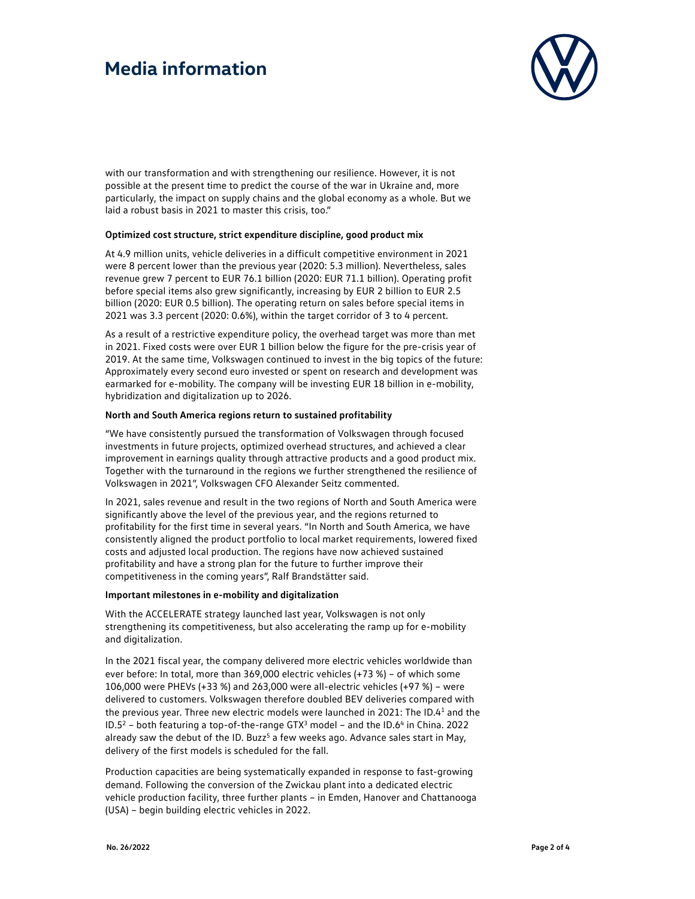

with our transformation and with strengthening our resilience. However, it is not possible at the present time to predict the course of the war in Ukraine and, more particularly, the impact on supply chains and the global economy as a whole. But we laid a robust basis in 2021 to master this crisis, too."

#### **Optimized cost structure, strict expenditure discipline, good product mix**

At 4.9 million units, vehicle deliveries in a difficult competitive environment in 2021 were 8 percent lower than the previous year (2020: 5.3 million). Nevertheless, sales revenue grew 7 percent to EUR 76.1 billion (2020: EUR 71.1 billion). Operating profit before special items also grew significantly, increasing by EUR 2 billion to EUR 2.5 billion (2020: EUR 0.5 billion). The operating return on sales before special items in 2021 was 3.3 percent (2020: 0.6%), within the target corridor of 3 to 4 percent.

As a result of a restrictive expenditure policy, the overhead target was more than met in 2021. Fixed costs were over EUR 1 billion below the figure for the pre-crisis year of 2019. At the same time, Volkswagen continued to invest in the big topics of the future: Approximately every second euro invested or spent on research and development was earmarked for e-mobility. The company will be investing EUR 18 billion in e-mobility, hybridization and digitalization up to 2026.

#### **North and South America regions return to sustained profitability**

"We have consistently pursued the transformation of Volkswagen through focused investments in future projects, optimized overhead structures, and achieved a clear improvement in earnings quality through attractive products and a good product mix. Together with the turnaround in the regions we further strengthened the resilience of Volkswagen in 2021", Volkswagen CFO Alexander Seitz commented.

In 2021, sales revenue and result in the two regions of North and South America were significantly above the level of the previous year, and the regions returned to profitability for the first time in several years. "In North and South America, we have consistently aligned the product portfolio to local market requirements, lowered fixed costs and adjusted local production. The regions have now achieved sustained profitability and have a strong plan for the future to further improve their competitiveness in the coming years", Ralf Brandstätter said.

#### **Important milestones in e-mobility and digitalization**

With the ACCELERATE strategy launched last year, Volkswagen is not only strengthening its competitiveness, but also accelerating the ramp up for e-mobility and digitalization.

In the 2021 fiscal year, the company delivered more electric vehicles worldwide than ever before: In total, more than 369,000 electric vehicles (+73 %) – of which some 106,000 were PHEVs (+33 %) and 263,000 were all-electric vehicles (+97 %) – were delivered to customers. Volkswagen therefore doubled BEV deliveries compared with the previous year. Three new electric models were launched in 2021: The ID.41 and the  $ID.5<sup>2</sup>$  – both featuring a top-of-the-range GTX<sup>3</sup> model – and the  $ID.6<sup>4</sup>$  in China. 2022 already saw the debut of the ID. Buzz<sup>5</sup> a few weeks ago. Advance sales start in May, delivery of the first models is scheduled for the fall.

Production capacities are being systematically expanded in response to fast-growing demand. Following the conversion of the Zwickau plant into a dedicated electric vehicle production facility, three further plants – in Emden, Hanover and Chattanooga (USA) – begin building electric vehicles in 2022.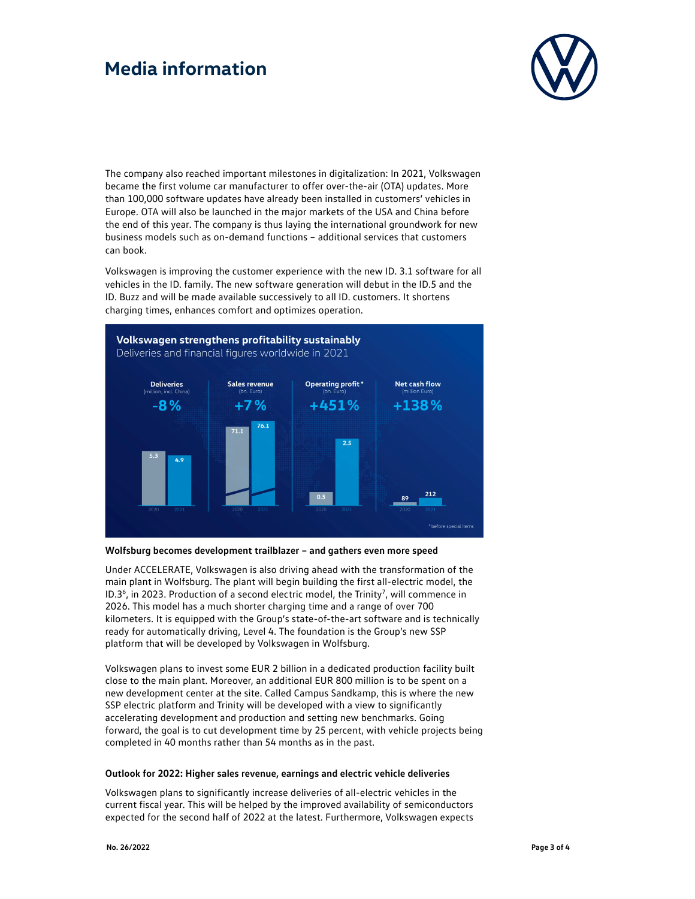

The company also reached important milestones in digitalization: In 2021, Volkswagen became the first volume car manufacturer to offer over-the-air (OTA) updates. More than 100,000 software updates have already been installed in customers' vehicles in Europe. OTA will also be launched in the major markets of the USA and China before the end of this year. The company is thus laying the international groundwork for new business models such as on-demand functions – additional services that customers can book.

Volkswagen is improving the customer experience with the new ID. 3.1 software for all vehicles in the ID. family. The new software generation will debut in the ID.5 and the ID. Buzz and will be made available successively to all ID. customers. It shortens charging times, enhances comfort and optimizes operation.



**Wolfsburg becomes development trailblazer – and gathers even more speed** 

Under ACCELERATE, Volkswagen is also driving ahead with the transformation of the main plant in Wolfsburg. The plant will begin building the first all-electric model, the ID.3<sup>6</sup>, in 2023. Production of a second electric model, the Trinity<sup>7</sup>, will commence in 2026. This model has a much shorter charging time and a range of over 700 kilometers. It is equipped with the Group's state-of-the-art software and is technically ready for automatically driving, Level 4. The foundation is the Group's new SSP platform that will be developed by Volkswagen in Wolfsburg.

Volkswagen plans to invest some EUR 2 billion in a dedicated production facility built close to the main plant. Moreover, an additional EUR 800 million is to be spent on a new development center at the site. Called Campus Sandkamp, this is where the new SSP electric platform and Trinity will be developed with a view to significantly accelerating development and production and setting new benchmarks. Going forward, the goal is to cut development time by 25 percent, with vehicle projects being completed in 40 months rather than 54 months as in the past.

### **Outlook for 2022: Higher sales revenue, earnings and electric vehicle deliveries**

Volkswagen plans to significantly increase deliveries of all-electric vehicles in the current fiscal year. This will be helped by the improved availability of semiconductors expected for the second half of 2022 at the latest. Furthermore, Volkswagen expects